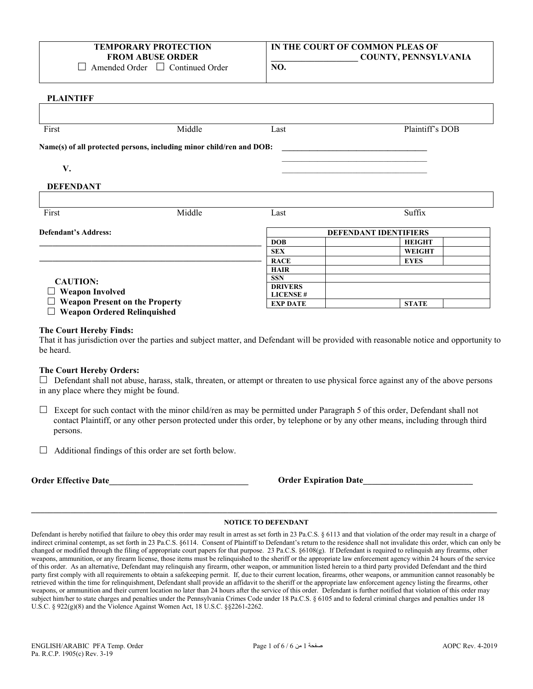## **TEMPORARY PROTECTION FROM ABUSE ORDER**

 $\Box$  Amended Order  $\Box$  Continued Order

# **IN THE COURT OF COMMON PLEAS OF \_\_\_\_\_\_\_\_\_\_\_\_\_\_\_\_\_\_\_\_ COUNTY, PENNSYLVANIA**

**NO.**

### **PLAINTIFF**

| First                                                           | Middle                                                               | Last                               | Plaintiff's DOB              |
|-----------------------------------------------------------------|----------------------------------------------------------------------|------------------------------------|------------------------------|
|                                                                 | Name(s) of all protected persons, including minor child/ren and DOB: |                                    |                              |
| V.                                                              |                                                                      |                                    |                              |
| <b>DEFENDANT</b>                                                |                                                                      |                                    |                              |
| First                                                           | Middle                                                               | Last                               | Suffix                       |
|                                                                 |                                                                      |                                    |                              |
| <b>Defendant's Address:</b>                                     |                                                                      |                                    | <b>DEFENDANT IDENTIFIERS</b> |
|                                                                 |                                                                      | <b>DOB</b>                         | <b>HEIGHT</b>                |
|                                                                 |                                                                      | <b>SEX</b>                         | <b>WEIGHT</b>                |
|                                                                 |                                                                      | <b>RACE</b>                        | <b>EYES</b>                  |
|                                                                 |                                                                      | <b>HAIR</b>                        |                              |
|                                                                 |                                                                      | <b>SSN</b>                         |                              |
| <b>CAUTION:</b>                                                 |                                                                      | <b>DRIVERS</b>                     |                              |
| <b>Weapon Involved</b><br><b>Weapon Present on the Property</b> |                                                                      | <b>LICENSE#</b><br><b>EXP DATE</b> | <b>STATE</b>                 |

### **The Court Hereby Finds:**

That it has jurisdiction over the parties and subject matter, and Defendant will be provided with reasonable notice and opportunity to be heard.

### **The Court Hereby Orders:**

 Defendant shall not abuse, harass, stalk, threaten, or attempt or threaten to use physical force against any of the above persons in any place where they might be found.

- $\Box$  Except for such contact with the minor child/ren as may be permitted under Paragraph 5 of this order, Defendant shall not contact Plaintiff, or any other person protected under this order, by telephone or by any other means, including through third persons.
- $\Box$  Additional findings of this order are set forth below.

|  | <b>Order Effective Date</b> |  |
|--|-----------------------------|--|
|--|-----------------------------|--|

**Order Expiration Date** 

# **\_\_\_\_\_\_\_\_\_\_\_\_\_\_\_\_\_\_\_\_\_\_\_\_\_\_\_\_\_\_\_\_\_\_\_\_\_\_\_\_\_\_\_\_\_\_\_\_\_\_\_\_\_\_\_\_\_\_\_\_\_\_\_\_\_\_\_\_\_\_\_\_\_\_\_\_\_\_\_\_\_\_\_\_\_\_\_\_\_\_\_\_\_\_\_\_\_\_\_\_\_\_\_\_\_\_\_ NOTICE TO DEFENDANT**

Defendant is hereby notified that failure to obey this order may result in arrest as set forth in 23 Pa.C.S. § 6113 and that violation of the order may result in a charge of indirect criminal contempt, as set forth in 23 Pa.C.S. §6114. Consent of Plaintiff to Defendant's return to the residence shall not invalidate this order, which can only be changed or modified through the filing of appropriate court papers for that purpose. 23 Pa.C.S. §6108(g). If Defendant is required to relinquish any firearms, other weapons, ammunition, or any firearm license, those items must be relinquished to the sheriff or the appropriate law enforcement agency within 24 hours of the service of this order. As an alternative, Defendant may relinquish any firearm, other weapon, or ammunition listed herein to a third party provided Defendant and the third party first comply with all requirements to obtain a safekeeping permit. If, due to their current location, firearms, other weapons, or ammunition cannot reasonably be retrieved within the time for relinquishment, Defendant shall provide an affidavit to the sheriff or the appropriate law enforcement agency listing the firearms, other weapons, or ammunition and their current location no later than 24 hours after the service of this order. Defendant is further notified that violation of this order may subject him/her to state charges and penalties under the Pennsylvania Crimes Code under 18 Pa.C.S. § 6105 and to federal criminal charges and penalties under 18 U.S.C. § 922(g)(8) and the Violence Against Women Act,  $18$  U.S.C. §§2261-2262.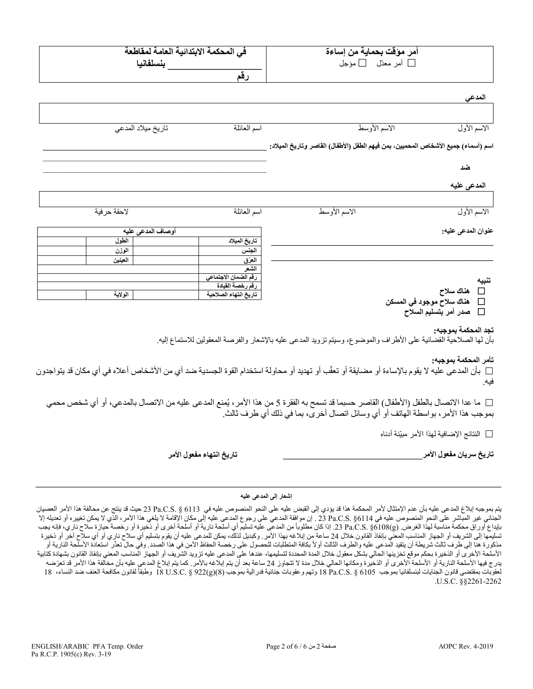| أمر موْقت بحماية من إساءة<br>□ أمر معدّل □ مؤجل                                                                                                                                                                             | في المحكمة الابتدائية العامة لمقاطعة<br>بنسلفانيا |                    |
|-----------------------------------------------------------------------------------------------------------------------------------------------------------------------------------------------------------------------------|---------------------------------------------------|--------------------|
|                                                                                                                                                                                                                             | رقم                                               |                    |
| المدعي                                                                                                                                                                                                                      |                                                   |                    |
| الاسم الأوسط<br>الاسم الأول                                                                                                                                                                                                 | اسم العائلة                                       | تاريخ ميلاد المدعى |
| اسم (أسماء) جميع الأشخاص المحميين، بمن فيهم الطفل (الأطفال) القاصر وتاريخ الميلاد:                                                                                                                                          |                                                   |                    |
| ضد                                                                                                                                                                                                                          |                                                   |                    |
| المدعى عليه                                                                                                                                                                                                                 |                                                   |                    |
| الاسم الأول<br>الاسم الأوسط                                                                                                                                                                                                 | اسم العائلة                                       | لاحقة حرفية        |
| عنوان المدعى عليه:                                                                                                                                                                                                          |                                                   | أوصاف المدعى عليه  |
|                                                                                                                                                                                                                             | تاريخ الميلاد                                     | الطول              |
|                                                                                                                                                                                                                             | الجنس                                             | الوزن              |
|                                                                                                                                                                                                                             | العِرْق                                           | العينين            |
|                                                                                                                                                                                                                             | لشعر<br>رقم الضمان الاجتماعي                      |                    |
| تنبيه                                                                                                                                                                                                                       | رقم رخصة القيادة                                  |                    |
| □ هناك سلاح                                                                                                                                                                                                                 | تاريخ انتهاء الصلاحية                             | الولاية            |
| هناك سلاح موجود في المسكن<br>$\Box$<br>صدر أمر بتسليم السلاح<br>$\Box$                                                                                                                                                      |                                                   |                    |
| تجد المحكمة بموجبه:<br>بأن لها الصلاحية القضائية على الأطراف والموضوع، وسيتم تزويد المدعى عليه بالإشعار والفرصة المعقولين للاستماع إليه.                                                                                    |                                                   |                    |
| تأمر المحكمة بموجبه:<br>□ بأن المدعى عليه لا يقوم بالإساءة أو مضايقة أو تعقّب أو تهديد أو محاولة استخدام القوة الجسدية ضد أي من الأشخاص أعلاه في أي مكان قد يتواجدون<br>فيه.                                                |                                                   |                    |
| □ ما عدا الاتصال بالطفل (الأطفال) القاصر  حسبما قد تسمح به الفقر ة 5 من هذا الأمر ، يُمنع المدعى عليه من الاتصال بالمدعي، أو أي شخص محمي<br>بموجب هذا الأمر ، بواسطة الهاتف أو أي وسائل اتصال أخرى، بما في ذلك أي طرف ثالث. |                                                   |                    |
| □ النتائج الإضافية لهذا الأمر مبيّنة أدناه                                                                                                                                                                                  |                                                   |                    |
| تاريخ سريان مفعول الأمر                                                                                                                                                                                                     | تاريخ انتهاء مفعول الأمر                          |                    |

# **\_\_\_\_\_\_\_\_\_\_\_\_\_\_\_\_\_\_\_\_\_\_\_\_\_\_\_\_\_\_\_\_\_\_\_\_\_\_\_\_\_\_\_\_\_\_\_\_\_\_\_\_\_\_\_\_\_\_\_\_\_\_\_\_\_\_\_\_\_\_\_\_\_\_\_\_\_\_\_\_\_\_\_\_\_\_\_\_\_\_\_\_\_\_\_\_\_\_\_\_\_\_\_\_\_\_\_ إشعار إلى المدعى علیھ**

یتم بموجبھ إبلاغ المدعى علیھ بأن عدم الإ تم ثال لأمر المحكمة ھذا قد یؤدي إلى القبض علیھ على النحو المنصوص علیھ في 6113 § .S.C.Pa 23 حیث قد ینتج عن محالفة ھذا الأمر العصیان الجنائي غیر المباشر على النحو المنصوص علیه في Pa.C.S. §6114 و . إن موافقة المدعي على علمه علیه إلى مكان الإقامة لا يلغي هذا الأمر ، الذي لا يمكن تغييره أو تعديله إلا بايداع أوراق محكمة مناسبة لهذا الغرض. (Ba.C.S. §6108(g. إذا كان مطلوباً من المدعى عليه تسليم أي أسلحة أخرى أو زخيرة أو رخصة حيازة سلاح ناري، فإنه يجب تسلیمها إلى الشریف أو الجهاز المناسب المعني بإنفاذ القانون خلال 24 ساعة من إبلاغه بهذا الأمر. وكبدیل لنلك بمكن للمدعى علیه أن یقوم بتسلیم أي سلاح ناري أو أي سلاح آخر أو ذخیرة مذكورة هنا إلى طرف ثالث شريطة أن يتقيد المدعي عليه والطرف الثالث أو لأ بكافة المتطلبات للحصول تعاصل الحمد وفي حال تعذّر استعادة الأسلّحة النارية أو الأسلحة الأخرى أو الذخیرة بحكم موقع تخزینها الحالي بشكل معقول خلال المحدى المحمل علیه تزوید الشریف أو الجهاز المناسب المعني بإنفاذ القانون بشهادة كتابیة یدرج فیها الأسلحة الزاریة أو الأسلحة الأخرى أو الذخیرة ومكانها الحلي لكن التجار لا تب الله الذت الذخی الذخیل المدعي علیه بأن مخالفة هذا الأمر قد تعرّضه لعقوبات بمقتضى قانون الجنايات لبنسلفانيا بموجب 18 B و.S.C. S وتهم وعقوبات جنائية فدرالية بموجب (8)(g(8) § 18 U.S.C. § وطبقاً لقانون مكافحة العنف ضد النساء، 18 وتهم وعقوبات جنائية فدرالية بموجب (8)(U.S.C. § 922 و طبقاً لقا .U.S.C. §§2261-2262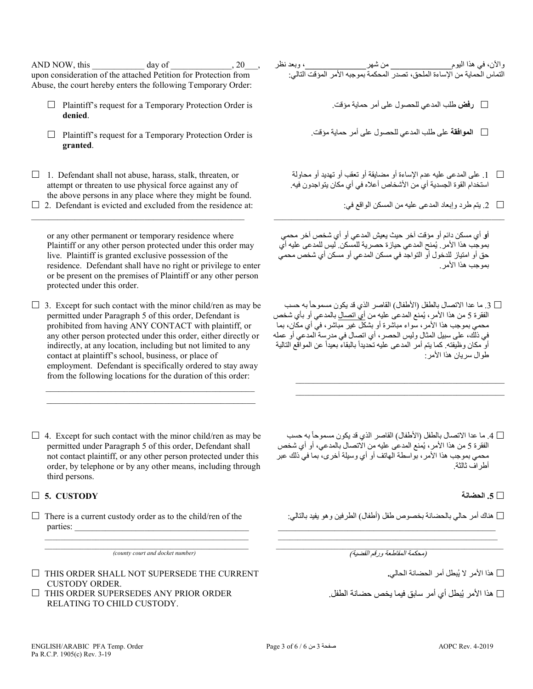AND NOW, this  $\qquad \qquad \text{day of} \qquad \qquad .20 \qquad .$ upon consideration of the attached Petition for Protection from Abuse, the court hereby enters the following Temporary Order:

- $\Box$  Plaintiff's request for a Temporary Protection Order is **denied**.
- $\Box$  Plaintiff's request for a Temporary Protection Order is **granted**.
- $\Box$  1. Defendant shall not abuse, harass, stalk, threaten, or attempt or threaten to use physical force against any of the above persons in any place where they might be found.
- $\Box$  2. Defendant is evicted and excluded from the residence at: \_\_\_\_\_\_\_\_\_\_\_\_\_\_\_\_\_\_\_\_\_\_\_\_\_\_\_\_\_\_\_\_\_\_\_\_\_\_\_\_\_\_\_\_\_\_\_\_\_

or any other permanent or temporary residence where Plaintiff or any other person protected under this order may live. Plaintiff is granted exclusive possession of the residence. Defendant shall have no right or privilege to enter or be present on the premises of Plaintiff or any other person protected under this order.

 $\Box$  3. Except for such contact with the minor child/ren as may be permitted under Paragraph 5 of this order, Defendant is prohibited from having ANY CONTACT with plaintiff, or any other person protected under this order, either directly or indirectly, at any location, including but not limited to any contact at plaintiff's school, business, or place of employment. Defendant is specifically ordered to stay away from the following locations for the duration of this order:

 $\mathcal{L}_\text{max}$  , and the set of the set of the set of the set of the set of the set of the set of the set of the set of the set of the set of the set of the set of the set of the set of the set of the set of the set of the  $\mathcal{L}_\mathcal{L}$  , and the set of the set of the set of the set of the set of the set of the set of the set of the set of the set of the set of the set of the set of the set of the set of the set of the set of the set of th

 $\Box$  4. Except for such contact with the minor child/ren as may be permitted under Paragraph 5 of this order, Defendant shall not contact plaintiff, or any other person protected under this order, by telephone or by any other means, including through third persons.

## **5. CUSTODY الحضانة .5**

 $\Box$  There is a current custody order as to the child/ren of the parties:

\_\_\_\_\_\_\_\_\_\_\_\_\_\_\_\_\_\_\_\_\_\_\_\_\_\_\_\_\_\_\_\_\_\_\_\_\_\_\_\_\_\_\_\_\_\_\_\_\_\_\_\_ *(county court and docket number)*

- $\Box$  THIS ORDER SHALL NOT SUPERSEDE THE CURRENT CUSTODY ORDER.
- $\Box$  THIS ORDER SUPERSEDES ANY PRIOR ORDER RELATING TO CHILD CUSTODY.

| ٍ، وبعد نظر | والأن، في هذا اليوم<br>التماس الحماية من الإساءة الملحق، تصدر المحكمة بموجبه الأمر المؤقت التالي: |  |
|-------------|---------------------------------------------------------------------------------------------------|--|
|             |                                                                                                   |  |
|             | □ رفض طلب المدعى للحصول على أمر حماية مؤقت.                                                       |  |

- **الموافقة** على طلب المدعي للحصول على أمر حمایة مؤقت.
- .1 على المدعى علیھ عدم الإساءة أو مضایقة أو تعقب أو تھدید أو محاولة استخدام القوة الجسدیة أي من الأشخاص أعلاه في أي مكان یتواجدون فیھ.
	- .2 یتم طرد وإبعاد المدعى علیھ من المسكن الواقع في:

**أو** أي مسكن دائم أو مؤقت آخر حیث یعیش المدعي أو أي شخص آخر محمي بموجب هذا الأمر . يُمنح المدعي حيازة حصرية للمسكن. ليس للمدعى عليه أي حق أو امتیاز للدخول أو التواجد في مسكن المدعي أو مسكن أي شخص محمي بموجب ھذا الأمر.

\_\_\_\_\_\_\_\_\_\_\_\_\_\_\_\_\_\_\_\_\_\_\_\_\_\_\_\_\_\_\_\_\_\_\_\_\_\_\_\_\_\_\_\_\_\_\_\_\_\_\_\_\_

د. ما عدا الاتصال بالطفل (الأطفال) القاصر الذي قد يكون مسموحاً به حسب  $\Box$ الفقرة 5 من هذا الأمر ، يُمنع المدعى عليه من <u>أي اتصال</u> بالمدعي أو بأي شخص محمي بموجب ھذا الأمر، سواء مباشرة أو بشكل غیر مباشر، في أي مكان، بما في ذلك، على سبیل المثال ولیس الحصر، أي اتصال في مدرسة المدعي أو عملھ أو مكان وظيفته. كما يتم أمر المدعى عليه تحديداً بالبقاء بعيداً عن المواقع التالية طوال سریان ھذا الأمر:

 $\mathcal{L}_\text{max} = \frac{1}{2} \sum_{i=1}^{n} \frac{1}{2} \sum_{i=1}^{n} \frac{1}{2} \sum_{i=1}^{n} \frac{1}{2} \sum_{i=1}^{n} \frac{1}{2} \sum_{i=1}^{n} \frac{1}{2} \sum_{i=1}^{n} \frac{1}{2} \sum_{i=1}^{n} \frac{1}{2} \sum_{i=1}^{n} \frac{1}{2} \sum_{i=1}^{n} \frac{1}{2} \sum_{i=1}^{n} \frac{1}{2} \sum_{i=1}^{n} \frac{1}{2} \sum_{i=1}^{n} \frac{1$  $\mathcal{L}_\mathcal{L}$  , and the set of the set of the set of the set of the set of the set of the set of the set of the set of the set of the set of the set of the set of the set of the set of the set of the set of the set of th

 $\Box$  1 ما عدا الاتصال بالطفل (الأطفال) القاصر الذي قد يكون مسموحاً به حسب الفقرة 5 من هذا الأمر ، يُمنع المدعى عليه من الاتصـال بالمدعي، أو أي شخص محمي بموجب ھذا الأمر، بواسطة الھاتف أو أي وسیلة أخرى، بما في ذلك عبر أطراف ثالثة.

ھناك أمر حالي بالحضانة بخصوص طفل (أطفال) الطرفین وھو یفید بالتالي:

\_\_\_\_\_\_\_\_\_\_\_\_\_\_\_\_\_\_\_\_\_\_\_\_\_\_\_\_\_\_\_\_\_\_\_\_\_\_\_\_\_\_\_\_\_\_\_\_\_\_\_\_\_\_\_\_\_\_ (محكمة المقاطعة ورقم القضیة)

 $\mathcal{L}_\mathcal{L} = \{ \mathcal{L}_\mathcal{L} = \{ \mathcal{L}_\mathcal{L} = \{ \mathcal{L}_\mathcal{L} = \{ \mathcal{L}_\mathcal{L} = \{ \mathcal{L}_\mathcal{L} = \{ \mathcal{L}_\mathcal{L} = \{ \mathcal{L}_\mathcal{L} = \{ \mathcal{L}_\mathcal{L} = \{ \mathcal{L}_\mathcal{L} = \{ \mathcal{L}_\mathcal{L} = \{ \mathcal{L}_\mathcal{L} = \{ \mathcal{L}_\mathcal{L} = \{ \mathcal{L}_\mathcal{L} = \{ \mathcal{L}_\mathcal{$ 

ُبطل أمر الحضانة الحالي**.** ھذا الأمر لا ی

∏ هذا الأمر يُبطل أي أمر سابق فيما يخص حضىانة الطفل.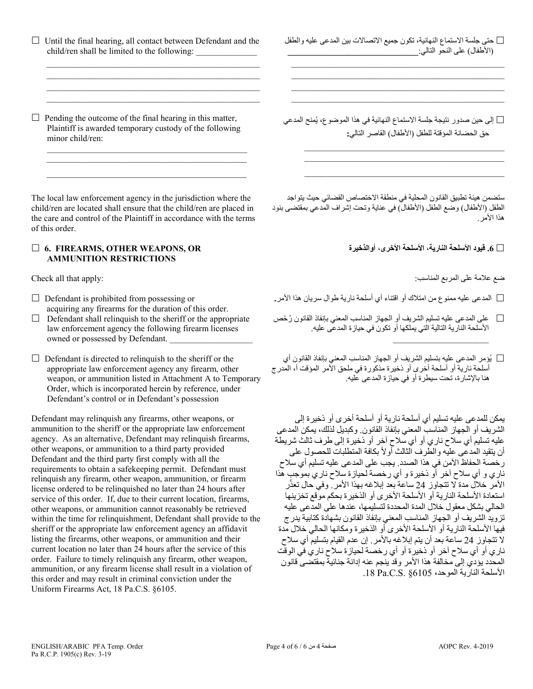$\Box$  Until the final hearing, all contact between Defendant and the child/ren shall be limited to the following:

 $\mathcal{L}_\text{max} = \frac{1}{2} \sum_{i=1}^{n} \frac{1}{2} \sum_{i=1}^{n} \frac{1}{2} \sum_{i=1}^{n} \frac{1}{2} \sum_{i=1}^{n} \frac{1}{2} \sum_{i=1}^{n} \frac{1}{2} \sum_{i=1}^{n} \frac{1}{2} \sum_{i=1}^{n} \frac{1}{2} \sum_{i=1}^{n} \frac{1}{2} \sum_{i=1}^{n} \frac{1}{2} \sum_{i=1}^{n} \frac{1}{2} \sum_{i=1}^{n} \frac{1}{2} \sum_{i=1}^{n} \frac{1$  $\mathcal{L}_\text{max}$  , and the set of the set of the set of the set of the set of the set of the set of the set of the set of the set of the set of the set of the set of the set of the set of the set of the set of the set of the

 $\mathcal{L}_\text{max}$  , and the set of the set of the set of the set of the set of the set of the set of the set of the set of the set of the set of the set of the set of the set of the set of the set of the set of the set of the

 $\mathcal{L}_\mathcal{L}$  , and the set of the set of the set of the set of the set of the set of the set of the set of the set of the set of the set of the set of the set of the set of the set of the set of the set of the set of th

 $\Box$  Pending the outcome of the final hearing in this matter, Plaintiff is awarded temporary custody of the following minor child/ren:

 $\mathcal{L}_\mathcal{L}$  , which is a set of the set of the set of the set of the set of the set of the set of the set of the set of the set of the set of the set of the set of the set of the set of the set of the set of the set of

The local law enforcement agency in the jurisdiction where the child/ren are located shall ensure that the child/ren are placed in the care and control of the Plaintiff in accordance with the terms of this order.

## **6. FIREARMS, OTHER WEAPONS, OR AMMUNITION RESTRICTIONS**

- $\Box$  Defendant is prohibited from possessing or acquiring any firearms for the duration of this order.
- $\Box$  Defendant shall relinquish to the sheriff or the appropriate law enforcement agency the following firearm licenses owned or possessed by Defendant.
- $\Box$  Defendant is directed to relinquish to the sheriff or the appropriate law enforcement agency any firearm, other weapon, or ammunition listed in Attachment A to Temporary Order, which is incorporated herein by reference, under Defendant's control or in Defendant's possession

Defendant may relinquish any firearms, other weapons, or ammunition to the sheriff or the appropriate law enforcement agency. As an alternative, Defendant may relinquish firearms, other weapons, or ammunition to a third party provided Defendant and the third party first comply with all the requirements to obtain a safekeeping permit. Defendant must relinquish any firearm, other weapon, ammunition, or firearm license ordered to be relinquished no later than 24 hours after service of this order. If, due to their current location, firearms, other weapons, or ammunition cannot reasonably be retrieved within the time for relinquishment, Defendant shall provide to the sheriff or the appropriate law enforcement agency an affidavit listing the firearms, other weapons, or ammunition and their current location no later than 24 hours after the service of this order. Failure to timely relinquish any firearm, other weapon, ammunition, or any firearm license shall result in a violation of this order and may result in criminal conviction under the Uniform Firearms Act, 18 Pa.C.S. §6105.

 حتى جلسة الاستماع النھائیة، تكون جمیع الاتصالات بین المدعى علیھ والطفل (الأطفال) على النحو التالي:**\_\_\_\_\_\_\_\_\_\_\_\_\_\_\_\_\_\_\_\_\_\_\_\_\_\_\_\_\_\_**

 $\mathcal{L}_\text{max} = \frac{1}{2} \sum_{i=1}^{n} \frac{1}{2} \sum_{i=1}^{n} \frac{1}{2} \sum_{i=1}^{n} \frac{1}{2} \sum_{i=1}^{n} \frac{1}{2} \sum_{i=1}^{n} \frac{1}{2} \sum_{i=1}^{n} \frac{1}{2} \sum_{i=1}^{n} \frac{1}{2} \sum_{i=1}^{n} \frac{1}{2} \sum_{i=1}^{n} \frac{1}{2} \sum_{i=1}^{n} \frac{1}{2} \sum_{i=1}^{n} \frac{1}{2} \sum_{i=1}^{n} \frac{1$  $\mathcal{L}_\text{max} = \{ \mathcal{L}_\text{max} \mid \mathcal{L}_\text{max} \}$  \_\_\_\_\_\_\_\_\_\_\_\_\_\_\_\_\_\_\_\_\_\_\_\_\_\_\_\_\_\_\_\_\_\_\_\_\_\_\_\_\_\_\_\_\_\_\_\_\_  $\mathcal{L}_\text{max} = \{ \mathcal{L}_\text{max} \mid \mathcal{L}_\text{max} \}$ 

لى حين صدور نتيجة جلسة الاستماع النھائية في هذا الموضوع، يُمنح المدعي  $\Box$ حق الحضانة المؤقتة للطفل (الأطفال) القاصر التالي**:**

 $\mathcal{L}_\mathcal{L}$  , and the set of the set of the set of the set of the set of the set of the set of the set of the set of the set of the set of the set of the set of the set of the set of the set of the set of the set of th  $\mathcal{L}_\mathcal{L}$  , and the set of the set of the set of the set of the set of the set of the set of the set of the set of the set of the set of the set of the set of the set of the set of the set of the set of the set of th  $\mathcal{L}_\mathcal{L}$  , and the set of the set of the set of the set of the set of the set of the set of the set of the set of the set of the set of the set of the set of the set of the set of the set of the set of the set of th

ستضمن ھیئة تطبیق القانون المحلیة في منطقة الاختصاص القضائي حیث یتواجد الطفل (الأطفال) وضع الطفل (الأطفال) في عنایة وتحت إشراف المدعي بمقتضى بنود ھذا الأمر.

**.6 قیود الأسلحة الناریة، الأسلحة الأخرى، أوالذخیرة**

ضع علامة على المربع المناسب: :apply that all Check

 $\overline{\phantom{a}}$  , and the set of the set of the set of the set of the set of the set of the set of the set of the set of the set of the set of the set of the set of the set of the set of the set of the set of the set of the s

- المدعى علیھ ممنوع من امتلاك أو اقتناء أي أسلحة ناریة طوال سریان ھذا الأمر**.**
- على المدعى علیھ تسلیم الشریف أو الجھاز المناسب المعني بإنفاذ القانون ُرخَ ص الأسلحة الناریة التالیة التي یملكھا أو تكون في حیازة المدعى علیھ.
- ُؤمر المدعى علیھ بتسلیم الشریف أو الجھاز المناسب المعني بإنفاذ القانون أي ی أسلحة ناریة أو أسلحة أخرى أو ذخیرة مذكورة في ملحق الأمر المؤقت أ، المدرج ھنا بالإشارة، تحت سیطرة أو في حیازة المدعى علیھ.

یمكن للمدعى علیھ تسلیم أي أسلحة ناریة أو أسلحة أخرى أو ذخیرة إلى الشریف أو الجھاز المناسب المعني بإنفاذ القانون. وكبدیل لذلك، یمكن المدعى علیھ تسلیم أي سلاح ناري أو أي سلاح آخر أو ذخیرة إلى طرف ثالث شریطة أن يتقيد المدعى عليه والطرف الثالث أولاً بكافة المتطلبات للحصول على رخصة الحفاظ الآمن في ھذا الصدد. یجب على المدعى علیھ تسلیم أي سلاح ناري و أي سلاح آخر أو ذخیرة و أي رخصة لحیازة سلاح ناري بموجب ھذا الأمر خلال مدة لا تتجاوز 24 ساعة بعد إبلاغه بهذا الأمر ٍ وفي حال تعذّر استعادة الأسلحة الناریة أو الأسلحة الأخرى أو الذخیرة بحكم موقع تخزینھا الحالي بشكل معقول خلال المدة المحددة لتسلیمھا، عندھا على المدعى علیھ تزوید الشریف أو الجھاز المناسب المعني بإنفاذ القانون بشھادة كتابیة یدرج فیھا الأسلحة الناریة أو الأسلحة الأخرى أو الذخیرة ومكانھا الحالي خلال مدة لا تتجاوز 24 ساعة بعد أن یتم إبلاغھ بالأمر. إن عدم القیام بتسلیم أي سلاح ناري أو أي سلاح آخر أو ذخیرة أو أي رخصة لحیازة سلاح ناري في الوقت المحدد یؤدي إلى مخالفة ھذا الأمر وقد ینجم عنھ إدانة جنائیة بمقتضى قانون الأسلحة الناریة الموحد، 6105§ .S.C.Pa .18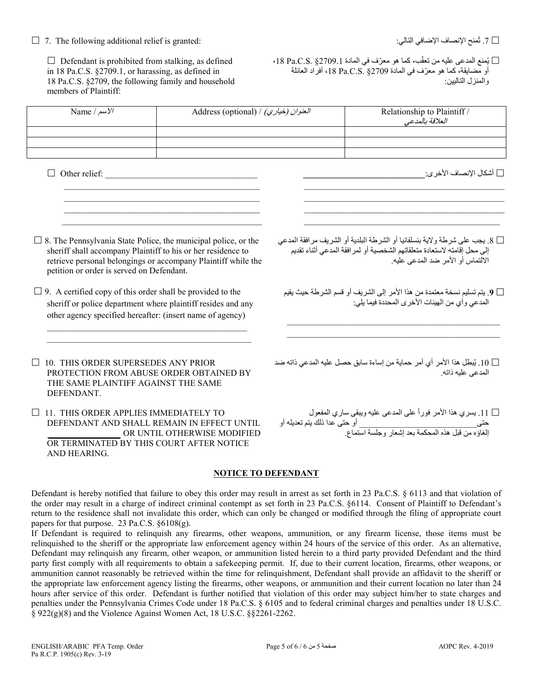## $\Box$  7. The following additional relief is granted:

□ 7. ثُمنح الإنصـاف الإضـافي التالي:

□ أشكال الانصـاف الأخر ي:

.<br>الالتماس أو الأمر ضد المدعى عليه.

المدعى عليه ذاته

المدعى و أي من الهيئات الآخر ي المحددة فيما يلِّي:

 $\Box$  Defendant is prohibited from stalking, as defined in 18 Pa.C.S. §2709.1, or harassing, as defined in 18 Pa.C.S. §2709, the following family and household members of Plaintiff:

□ يُمنع المدعى عليه من تعقّب، كما هو معرّف في المادة Pa.C.S. §2709.1، {\dide أو مضايقة، كما هو معرّف في المادة Pa.C.S. §2709 إ، أفراد العائلة ، المنز ل التالسن:

□ 8. يجب على شرطة ولاية بنسلفانيا أو الشرطة البلدية أو الشريف مرافقة المدعى

إلى محل إقامته لاستعادة متعلقاتهم الشخصية أو لمرافقة المدعى أثناء تقديم

□ 9. يتم تسليم نسخة معتمدة من هذا الأمر إلى الشريف أو قسم الشرطة حيث يقيم

ن 10 . يُبطِل هذا الأمر أي أمر حماية من إساءة سابق حصل عليه المدعى ذاته ضد  $\Box$ 

□ 11. يسري هذا الأمر فوراً على المدعى عليه ويبقى ساري المفعول<br>حتى\_\_\_\_\_\_\_\_\_\_\_\_\_\_\_\_\_\_\_\_\_\_\_\_\_\_\_ أو حتى عدا ذلك يتم تعديله أو<br>إلغاؤه من قبل هذه المحكمة بعد إشعار وجلسة استماع.

| Name / $\mu$ سم/ $\gamma$ / | Address (optional) / (خياري) / Address (optional) | Relationship to Plaintiff /<br>العلاقة بالمدعى |
|-----------------------------|---------------------------------------------------|------------------------------------------------|
|                             |                                                   |                                                |
|                             |                                                   |                                                |
|                             |                                                   |                                                |

 $\Box$  Other relief:

- $\Box$  8. The Pennsylvania State Police, the municipal police, or the sheriff shall accompany Plaintiff to his or her residence to retrieve personal belongings or accompany Plaintiff while the petition or order is served on Defendant.
- $\Box$  9. A certified copy of this order shall be provided to the sheriff or police department where plaintiff resides and any other agency specified hereafter: (insert name of agency)
- $\Box$  10. THIS ORDER SUPERSEDES ANY PRIOR PROTECTION FROM ABUSE ORDER OBTAINED BY THE SAME PLAINTIFF AGAINST THE SAME DEFENDANT.

 $\Box$  11. THIS ORDER APPLIES IMMEDIATELY TO DEFENDANT AND SHALL REMAIN IN EFFECT UNTIL OR UNTIL OTHERWISE MODIFIED OR TERMINATED BY THIS COURT AFTER NOTICE AND HEARING.

## **NOTICE TO DEFENDANT**

Defendant is hereby notified that failure to obey this order may result in arrest as set forth in 23 Pa.C.S. § 6113 and that violation of the order may result in a charge of indirect criminal contempt as set forth in 23 Pa.C.S. §6114. Consent of Plaintiff to Defendant's return to the residence shall not invalidate this order, which can only be changed or modified through the filing of appropriate court papers for that purpose. 23 Pa.C.S.  $\S6108(g)$ .

If Defendant is required to relinquish any firearms, other weapons, ammunition, or any firearm license, those items must be relinquished to the sheriff or the appropriate law enforcement agency within 24 hours of the service of this order. As an alternative, Defendant may relinquish any firearm, other weapon, or ammunition listed herein to a third party provided Defendant and the third party first comply with all requirements to obtain a safekeeping permit. If, due to their current location, firearms, other weapons, or ammunition cannot reasonably be retrieved within the time for relinquishment, Defendant shall provide an affidavit to the sheriff or the appropriate law enforcement agency listing the firearms, other weapons, or ammunition and their current location no later than 24 hours after service of this order. Defendant is further notified that violation of this order may subject him/her to state charges and penalties under the Pennsylvania Crimes Code under 18 Pa.C.S. § 6105 and to federal criminal charges and penalties under 18 U.S.C.  $\S$  922(g)(8) and the Violence Against Women Act, 18 U.S.C.  $\S$ 82261-2262.